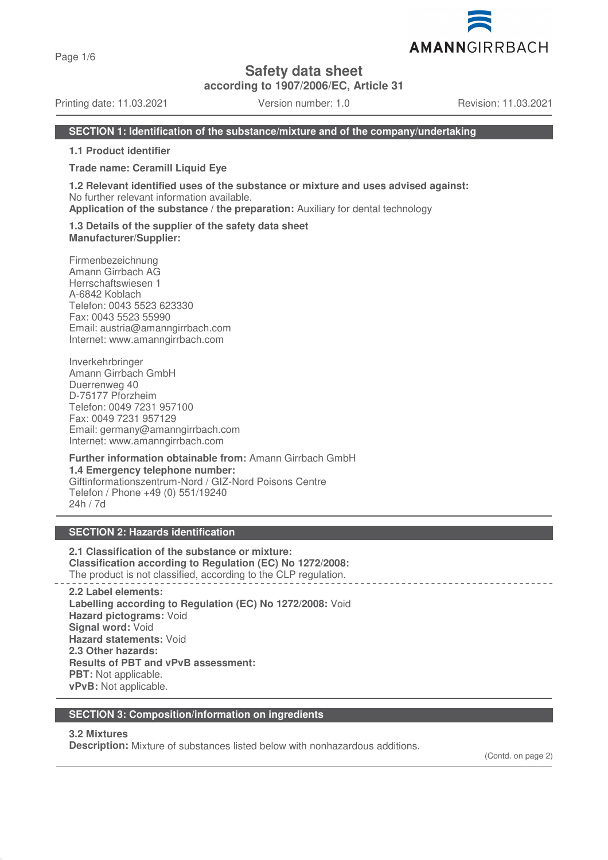Page 1/6

# **Safety data sheet**

**according to 1907/2006/EC, Article 31**

Printing date: 11.03.2021 Version number: 1.0 Revision: 11.03.2021

AMANNGIRRBACH

#### **SECTION 1: Identification of the substance/mixture and of the company/undertaking**

**1.1 Product identifier**

**Trade name: Ceramill Liquid Eye**

**1.2 Relevant identified uses of the substance or mixture and uses advised against:** No further relevant information available.

**Application of the substance / the preparation:** Auxiliary for dental technology

**1.3 Details of the supplier of the safety data sheet Manufacturer/Supplier:**

Firmenbezeichnung Amann Girrbach AG Herrschaftswiesen 1 A-6842 Koblach Telefon: 0043 5523 623330 Fax: 0043 5523 55990 Email: austria@amanngirrbach.com Internet: www.amanngirrbach.com

Inverkehrbringer Amann Girrbach GmbH Duerrenweg 40 D-75177 Pforzheim Telefon: 0049 7231 957100 Fax: 0049 7231 957129 Email: germany@amanngirrbach.com Internet: www.amanngirrbach.com

**Further information obtainable from:** Amann Girrbach GmbH **1.4 Emergency telephone number:** Giftinformationszentrum-Nord / GIZ-Nord Poisons Centre Telefon / Phone +49 (0) 551/19240 24h / 7d

### **SECTION 2: Hazards identification**

**2.1 Classification of the substance or mixture: Classification according to Regulation (EC) No 1272/2008:** The product is not classified, according to the CLP regulation.

**2.2 Label elements: Labelling according to Regulation (EC) No 1272/2008:** Void **Hazard pictograms:** Void **Signal word:** Void **Hazard statements:** Void **2.3 Other hazards: Results of PBT and vPvB assessment: PBT:** Not applicable. **vPvB:** Not applicable.

#### **SECTION 3: Composition/information on ingredients**

#### **3.2 Mixtures**

**Description:** Mixture of substances listed below with nonhazardous additions.

(Contd. on page 2)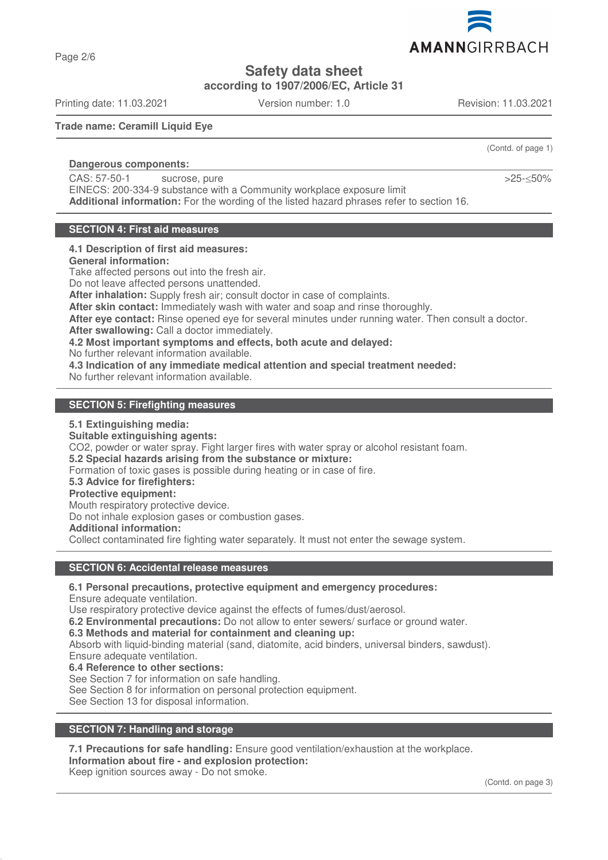AMANNGIRRBACH

# **Safety data sheet**

**according to 1907/2006/EC, Article 31**

Printing date: 11.03.2021 Version number: 1.0 Revision: 11.03.2021

**Trade name: Ceramill Liquid Eye**

### **Dangerous components:**

CAS: 57-50-1 sucrose, pure

EINECS: 200-334-9 substance with a Community workplace exposure limit **Additional information:** For the wording of the listed hazard phrases refer to section 16.

# **SECTION 4: First aid measures**

# **4.1 Description of first aid measures:**

**General information:**

Take affected persons out into the fresh air.

Do not leave affected persons unattended.

**After inhalation:** Supply fresh air; consult doctor in case of complaints.

**After skin contact:** Immediately wash with water and soap and rinse thoroughly.

**After eye contact:** Rinse opened eye for several minutes under running water. Then consult a doctor.

**After swallowing:** Call a doctor immediately.

**4.2 Most important symptoms and effects, both acute and delayed:**

No further relevant information available.

**4.3 Indication of any immediate medical attention and special treatment needed:**

No further relevant information available.

### **SECTION 5: Firefighting measures**

**5.1 Extinguishing media:**

**Suitable extinguishing agents:**

CO2, powder or water spray. Fight larger fires with water spray or alcohol resistant foam.

**5.2 Special hazards arising from the substance or mixture:**

Formation of toxic gases is possible during heating or in case of fire.

## **5.3 Advice for firefighters:**

### **Protective equipment:**

Mouth respiratory protective device.

Do not inhale explosion gases or combustion gases.

**Additional information:**

Collect contaminated fire fighting water separately. It must not enter the sewage system.

# **SECTION 6: Accidental release measures**

**6.1 Personal precautions, protective equipment and emergency procedures:**

Ensure adequate ventilation.

Use respiratory protective device against the effects of fumes/dust/aerosol.

**6.2 Environmental precautions:** Do not allow to enter sewers/ surface or ground water.

**6.3 Methods and material for containment and cleaning up:**

Absorb with liquid-binding material (sand, diatomite, acid binders, universal binders, sawdust). Ensure adequate ventilation.

**6.4 Reference to other sections:**

See Section 7 for information on safe handling.

See Section 8 for information on personal protection equipment.

See Section 13 for disposal information.

# **SECTION 7: Handling and storage**

**7.1 Precautions for safe handling:** Ensure good ventilation/exhaustion at the workplace. **Information about fire - and explosion protection:**

Keep ignition sources away - Do not smoke.

(Contd. of page 1)

>25-≤50%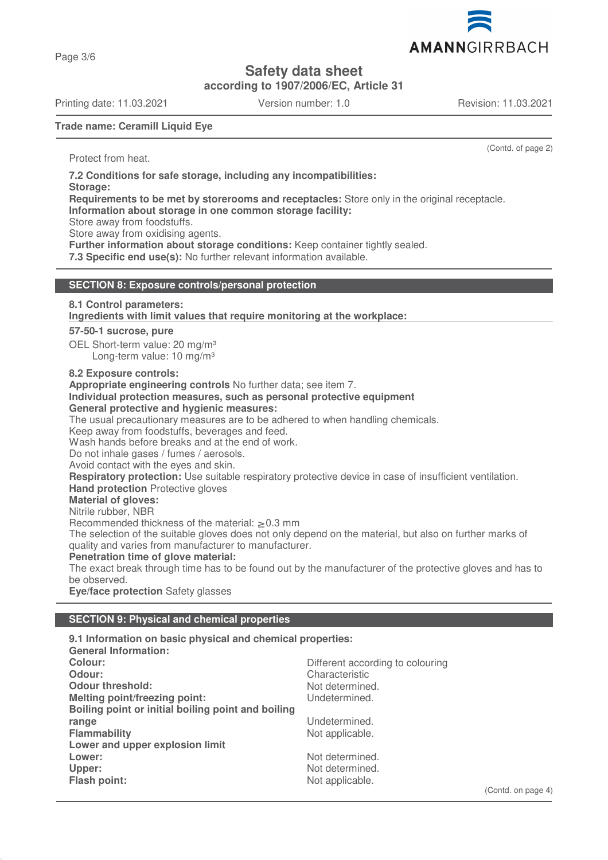Page 3/6

**Safety data sheet**

**according to 1907/2006/EC, Article 31**

Printing date: 11.03.2021 Version number: 1.0 Revision: 11.03.2021

(Contd. of page 2)

**Trade name: Ceramill Liquid Eye**

Protect from heat.

**7.2 Conditions for safe storage, including any incompatibilities: Storage: Requirements to be met by storerooms and receptacles:** Store only in the original receptacle. **Information about storage in one common storage facility:** Store away from foodstuffs. Store away from oxidising agents. Further information about storage conditions: Keep container tightly sealed. **7.3 Specific end use(s):** No further relevant information available.

# **SECTION 8: Exposure controls/personal protection**

# **8.1 Control parameters:**

Ingredients with limit values that require monitoring at the workplace:

#### **57-50-1 sucrose, pure**

OEL Short-term value: 20 mg/m<sup>3</sup> Long-term value: 10 mg/m<sup>3</sup>

#### **8.2 Exposure controls:**

**Appropriate engineering controls** No further data; see item 7.

#### **Individual protection measures, such as personal protective equipment General protective and hygienic measures:**

The usual precautionary measures are to be adhered to when handling chemicals.

Keep away from foodstuffs, beverages and feed.

Wash hands before breaks and at the end of work.

Do not inhale gases / fumes / aerosols.

Avoid contact with the eyes and skin.

**Respiratory protection:** Use suitable respiratory protective device in case of insufficient ventilation.

#### **Hand protection** Protective gloves

**Material of gloves:**

### Nitrile rubber, NBR

Recommended thickness of the material: > 0.3 mm

The selection of the suitable gloves does not only depend on the material, but also on further marks of quality and varies from manufacturer to manufacturer.

#### **Penetration time of glove material:**

The exact break through time has to be found out by the manufacturer of the protective gloves and has to be observed.

**Eye/face protection** Safety glasses

### **SECTION 9: Physical and chemical properties**

**9.1 Information on basic physical and chemical properties:**

| <b>General Information:</b>                        |                                  |
|----------------------------------------------------|----------------------------------|
| Colour:                                            | Different according to colouring |
| Odour:                                             | Characteristic                   |
| <b>Odour threshold:</b>                            | Not determined.                  |
| <b>Melting point/freezing point:</b>               | Undetermined.                    |
| Boiling point or initial boiling point and boiling |                                  |
| range                                              | Undetermined.                    |
| <b>Flammability</b>                                | Not applicable.                  |
| Lower and upper explosion limit                    |                                  |
| Lower:                                             | Not determined.                  |
| Upper:                                             | Not determined.                  |
| Flash point:                                       | Not applicable.                  |
|                                                    |                                  |

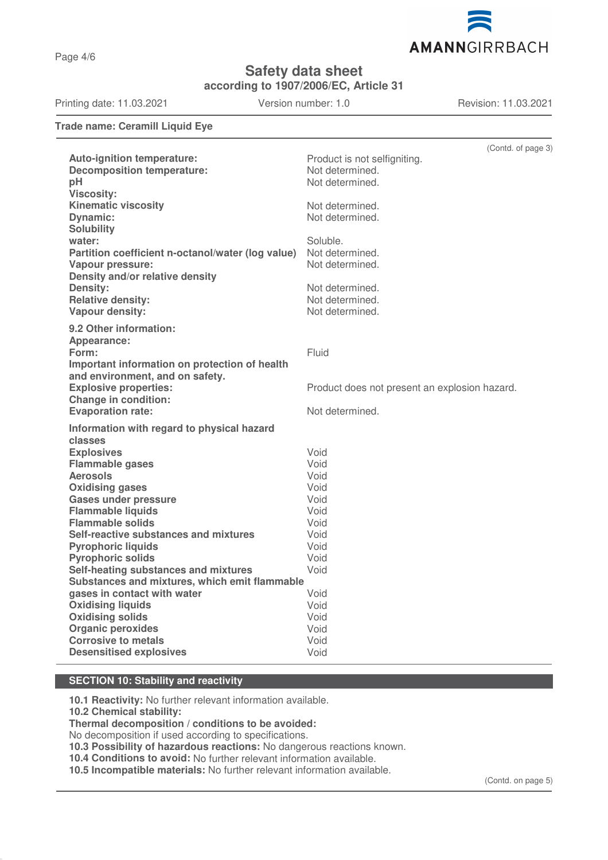Page 4/6

**Safety data sheet**

**according to 1907/2006/EC, Article 31**

Printing date: 11.03.2021 Version number: 1.0 Revision: 11.03.2021

AMANNGIRRBACH

**Trade name: Ceramill Liquid Eye**

|                                                         | (Contd. of page 3)                            |
|---------------------------------------------------------|-----------------------------------------------|
| <b>Auto-ignition temperature:</b>                       | Product is not selfigniting.                  |
| <b>Decomposition temperature:</b>                       | Not determined.                               |
| pH                                                      | Not determined.                               |
| <b>Viscosity:</b>                                       |                                               |
| <b>Kinematic viscosity</b>                              | Not determined.                               |
| <b>Dynamic:</b>                                         | Not determined.                               |
| <b>Solubility</b>                                       |                                               |
| water:                                                  | Soluble.                                      |
| Partition coefficient n-octanol/water (log value)       | Not determined.                               |
| <b>Vapour pressure:</b>                                 | Not determined.                               |
| Density and/or relative density                         |                                               |
| Density:                                                | Not determined.                               |
| <b>Relative density:</b>                                | Not determined.                               |
| Vapour density:                                         | Not determined.                               |
| 9.2 Other information:                                  |                                               |
| Appearance:                                             |                                               |
| Form:                                                   | Fluid                                         |
| Important information on protection of health           |                                               |
| and environment, and on safety.                         |                                               |
| <b>Explosive properties:</b>                            | Product does not present an explosion hazard. |
| <b>Change in condition:</b>                             |                                               |
| <b>Evaporation rate:</b>                                | Not determined.                               |
|                                                         |                                               |
| Information with regard to physical hazard              |                                               |
| classes                                                 |                                               |
| <b>Explosives</b>                                       | Void                                          |
| <b>Flammable gases</b>                                  | Void                                          |
| <b>Aerosols</b>                                         | Void<br>Void                                  |
| <b>Oxidising gases</b>                                  | Void                                          |
| <b>Gases under pressure</b><br><b>Flammable liquids</b> | Void                                          |
| <b>Flammable solids</b>                                 | Void                                          |
| Self-reactive substances and mixtures                   | Void                                          |
| <b>Pyrophoric liquids</b>                               | Void                                          |
| <b>Pyrophoric solids</b>                                | Void                                          |
| Self-heating substances and mixtures                    | Void                                          |
| Substances and mixtures, which emit flammable           |                                               |
| gases in contact with water                             | Void                                          |
| <b>Oxidising liquids</b>                                | Void                                          |
| <b>Oxidising solids</b>                                 | Void                                          |
| <b>Organic peroxides</b>                                | Void                                          |
| <b>Corrosive to metals</b>                              | Void                                          |
| <b>Desensitised explosives</b>                          | Void                                          |
|                                                         |                                               |

### **SECTION 10: Stability and reactivity**

**10.1 Reactivity:** No further relevant information available.

**10.2 Chemical stability:**

**Thermal decomposition / conditions to be avoided:**

No decomposition if used according to specifications.

**10.3 Possibility of hazardous reactions:** No dangerous reactions known.

**10.4 Conditions to avoid:** No further relevant information available.

**10.5 Incompatible materials:** No further relevant information available.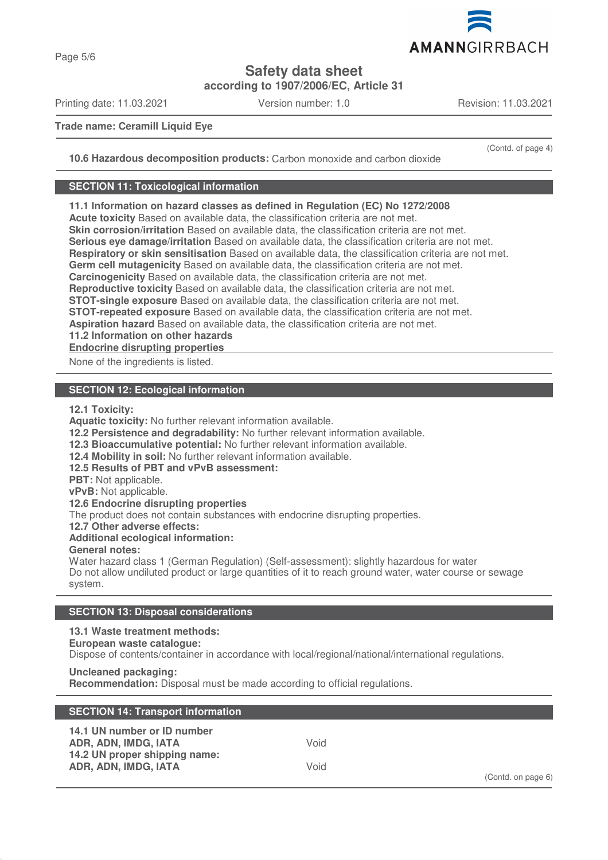

**Safety data sheet**

**according to 1907/2006/EC, Article 31**

Printing date: 11.03.2021 Version number: 1.0 Revision: 11.03.2021

(Contd. of page 4)

**Trade name: Ceramill Liquid Eye**

**10.6 Hazardous decomposition products:** Carbon monoxide and carbon dioxide

#### **SECTION 11: Toxicological information**

**11.1 Information on hazard classes as defined in Regulation (EC) No 1272/2008**

**Acute toxicity** Based on available data, the classification criteria are not met.

**Skin corrosion/irritation** Based on available data, the classification criteria are not met.

**Serious eye damage/irritation** Based on available data, the classification criteria are not met.

**Respiratory or skin sensitisation** Based on available data, the classification criteria are not met.

**Germ cell mutagenicity** Based on available data, the classification criteria are not met.

**Carcinogenicity** Based on available data, the classification criteria are not met.

**Reproductive toxicity** Based on available data, the classification criteria are not met.

**STOT-single exposure** Based on available data, the classification criteria are not met.

**STOT-repeated exposure** Based on available data, the classification criteria are not met.

**Aspiration hazard** Based on available data, the classification criteria are not met.

**11.2 Information on other hazards**

**Endocrine disrupting properties** 

None of the ingredients is listed.

# **SECTION 12: Ecological information**

**12.1 Toxicity:**

**Aquatic toxicity:** No further relevant information available.

**12.2 Persistence and degradability:** No further relevant information available.

**12.3 Bioaccumulative potential:** No further relevant information available.

**12.4 Mobility in soil:** No further relevant information available.

**12.5 Results of PBT and vPvB assessment:**

**PBT:** Not applicable.

**vPvB:** Not applicable.

**12.6 Endocrine disrupting properties**

The product does not contain substances with endocrine disrupting properties.

**12.7 Other adverse effects:**

**Additional ecological information:**

**General notes:**

Water hazard class 1 (German Regulation) (Self-assessment): slightly hazardous for water Do not allow undiluted product or large quantities of it to reach ground water, water course or sewage system.

# **SECTION 13: Disposal considerations**

# **13.1 Waste treatment methods:**

# **European waste catalogue:**

Dispose of contents/container in accordance with local/regional/national/international regulations.

# **Uncleaned packaging:**

**Recommendation:** Disposal must be made according to official regulations.

| <b>SECTION 14: Transport information</b>                                                                     |              |                    |
|--------------------------------------------------------------------------------------------------------------|--------------|--------------------|
| 14.1 UN number or ID number<br>ADR, ADN, IMDG, IATA<br>14.2 UN proper shipping name:<br>ADR, ADN, IMDG, IATA | Void<br>Void |                    |
|                                                                                                              |              | (Contd. on page 6) |